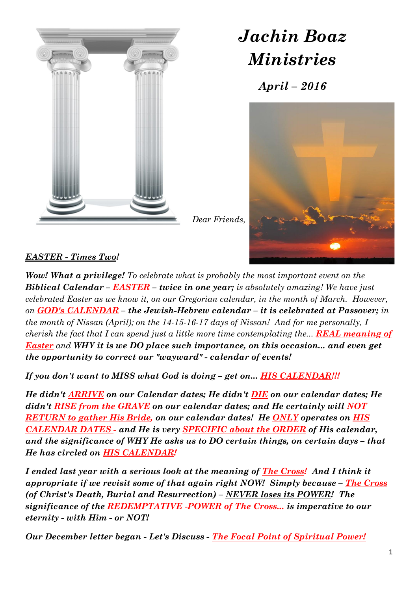

## *Jachin Boaz Ministries*

*April – 2016*



*EASTER - Times Two!*

*Wow! What a privilege! To celebrate what is probably the most important event on the Biblical Calendar – EASTER – twice in one year; is absolutely amazing! We have just celebrated Easter as we know it, on our Gregorian calendar, in the month of March. However, on GOD's CALENDAR – the Jewish-Hebrew calendar – it is celebrated at Passover; in the month of Nissan (April); on the 14-15-16-17 days of Nissan! And for me personally, I cherish the fact that I can spend just a little more time contemplating the... REAL meaning of Easter and WHY it is we DO place such importance, on this occasion... and even get the opportunity to correct our "wayward" - calendar of events!*

*If you don't want to MISS what God is doing – get on... HIS CALENDAR!!!* 

*He didn't ARRIVE on our Calendar dates; He didn't DIE on our calendar dates; He didn't RISE from the GRAVE on our calendar dates; and He certainly will NOT RETURN to gather His Bride, on our calendar dates! He ONLY operates on HIS CALENDAR DATES - and He is very SPECIFIC about the ORDER of His calendar, and the significance of WHY He asks us to DO certain things, on certain days – that He has circled on HIS CALENDAR!*

*I ended last year with a serious look at the meaning of The Cross! And I think it appropriate if we revisit some of that again right NOW! Simply because – The Cross (of Christ's Death, Burial and Resurrection) – NEVER loses its POWER! The significance of the REDEMPTATIVE -POWER of The Cross... is imperative to our eternity - with Him - or NOT!*

*Our December letter began - Let's Discuss - The Focal Point of Spiritual Power!*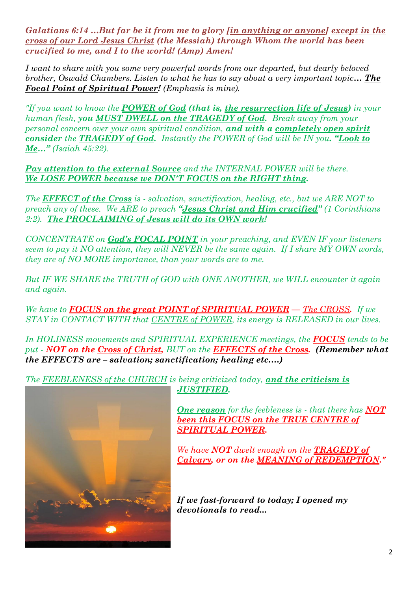*Galatians 6:14 …But far be it from me to glory [in anything or anyone] except in the cross of our Lord Jesus Christ (the Messiah) through Whom the world has been crucified to me, and I to the world! (Amp) Amen!*

*I want to share with you some very powerful words from our departed, but dearly beloved brother, Oswald Chambers. Listen to what he has to say about a very important topic... The Focal Point of Spiritual Power! (Emphasis is mine).*

*"If you want to know the POWER of God (that is, the resurrection life of Jesus) in your human flesh, you MUST DWELL on the TRAGEDY of God. Break away from your personal concern over your own spiritual condition, and with a completely open spirit consider the TRAGEDY of God. Instantly the POWER of God will be IN you. "Look to Me…" (Isaiah 45:22).* 

*Pay attention to the external Source and the INTERNAL POWER will be there. We LOSE POWER because we DON'T FOCUS on the RIGHT thing.* 

*The EFFECT of the Cross is - salvation, sanctification, healing, etc., but we ARE NOT to preach any of these. We ARE to preach "Jesus Christ and Him crucified" (1 Corinthians 2:2). The PROCLAIMING of Jesus will do its OWN work!* 

*CONCENTRATE on God's FOCAL POINT in your preaching, and EVEN IF your listeners seem to pay it NO attention, they will NEVER be the same again. If I share MY OWN words, they are of NO MORE importance, than your words are to me.* 

*But IF WE SHARE the TRUTH of GOD with ONE ANOTHER, we WILL encounter it again and again.* 

*We have to FOCUS on the great POINT of SPIRITUAL POWER — The CROSS. If we STAY in CONTACT WITH that CENTRE of POWER, its energy is RELEASED in our lives.* 

In HOLINESS movements and SPIRITUAL EXPERIENCE meetings, the **FOCUS** *tends* to be *put - NOT on the Cross of Christ, BUT on the EFFECTS of the Cross. (Remember what the EFFECTS are – salvation; sanctification; healing etc.…)*

*The FEEBLENESS of the CHURCH is being criticized today, and the criticism is JUSTIFIED.* 



*One reason for the feebleness is - that there has NOT been this FOCUS on the TRUE CENTRE of SPIRITUAL POWER.* 

*We have NOT dwelt enough on the TRAGEDY of Calvary, or on the MEANING of REDEMPTION."*

*If we fast-forward to today; I opened my devotionals to read...*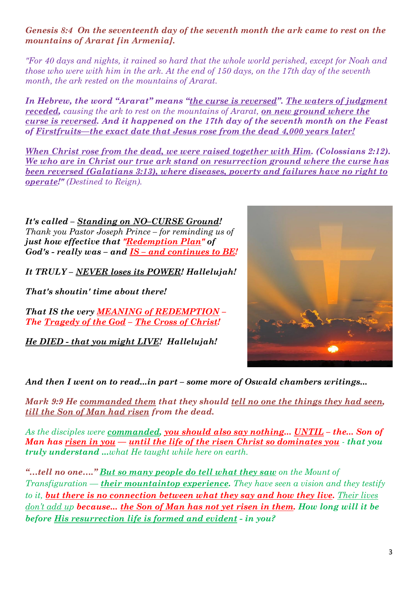## *Genesis 8:4 On the seventeenth day of the seventh month the ark came to rest on the mountains of Ararat [in Armenia].*

*"For 40 days and nights, it rained so hard that the whole world perished, except for Noah and those who were with him in the ark. At the end of 150 days, on the 17th day of the seventh month, the ark rested on the mountains of Ararat.*

*In Hebrew, the word "Ararat" means "the curse is reversed". The waters of judgment receded, causing the ark to rest on the mountains of Ararat, on new ground where the curse is reversed. And it happened on the 17th day of the seventh month on the Feast of Firstfruits—the exact date that Jesus rose from the dead 4,000 years later!*

*When Christ rose from the dead, we were raised together with Him. (Colossians 2:12). We who are in Christ our true ark stand on resurrection ground where the curse has been reversed (Galatians 3:13), where diseases, poverty and failures have no right to operate!" (Destined to Reign).*

*It's called – Standing on NO–CURSE Ground! Thank you Pastor Joseph Prince – for reminding us of just how effective that "Redemption Plan" of God's - really was – and IS – and continues to BE!*

*It TRULY – NEVER loses its POWER! Hallelujah!* 

*That's shoutin' time about there!* 

*That IS the very MEANING of REDEMPTION – The Tragedy of the God – The Cross of Christ!* 

*He DIED - that you might LIVE! Hallelujah!* 



*And then I went on to read...in part – some more of Oswald chambers writings...*

*Mark 9:9 He commanded them that they should tell no one the things they had seen, till the Son of Man had risen from the dead.*

*As the disciples were commanded, you should also say nothing... UNTIL – the... Son of Man has risen in you — until the life of the risen Christ so dominates you - that you truly understand ...what He taught while here on earth.*

*"…tell no one…." But so many people do tell what they saw on the Mount of Transfiguration — their mountaintop experience. They have seen a vision and they testify to it, but there is no connection between what they say and how they live. Their lives don't add up because... the Son of Man has not yet risen in them. How long will it be before His resurrection life is formed and evident - in you?*